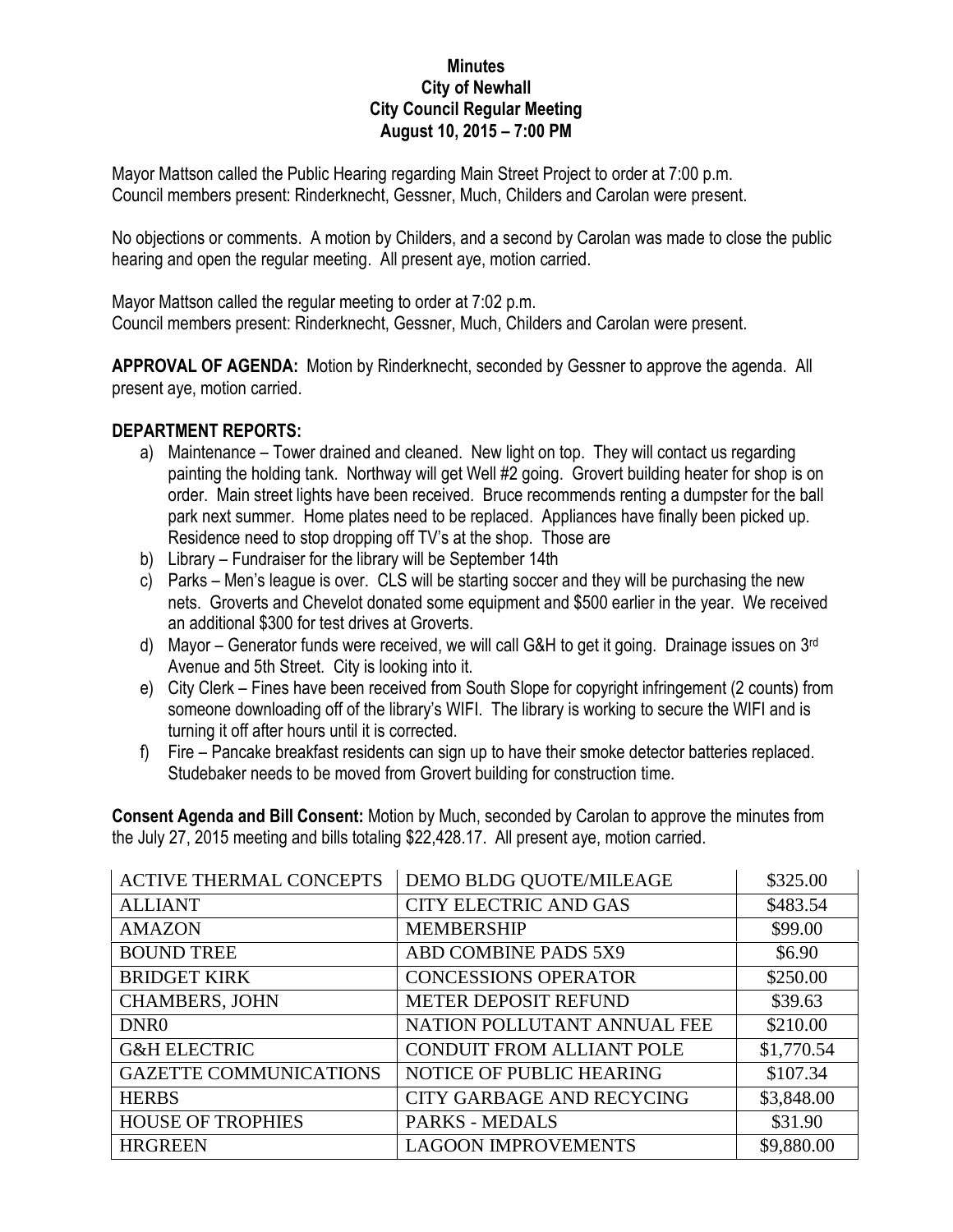## **Minutes City of Newhall City Council Regular Meeting August 10, 2015 – 7:00 PM**

Mayor Mattson called the Public Hearing regarding Main Street Project to order at 7:00 p.m. Council members present: Rinderknecht, Gessner, Much, Childers and Carolan were present.

No objections or comments. A motion by Childers, and a second by Carolan was made to close the public hearing and open the regular meeting. All present aye, motion carried.

Mayor Mattson called the regular meeting to order at 7:02 p.m. Council members present: Rinderknecht, Gessner, Much, Childers and Carolan were present.

**APPROVAL OF AGENDA:** Motion by Rinderknecht, seconded by Gessner to approve the agenda. All present aye, motion carried.

## **DEPARTMENT REPORTS:**

- a) Maintenance Tower drained and cleaned. New light on top. They will contact us regarding painting the holding tank. Northway will get Well #2 going. Grovert building heater for shop is on order. Main street lights have been received. Bruce recommends renting a dumpster for the ball park next summer. Home plates need to be replaced. Appliances have finally been picked up. Residence need to stop dropping off TV's at the shop. Those are
- b) Library Fundraiser for the library will be September 14th
- c) Parks Men's league is over. CLS will be starting soccer and they will be purchasing the new nets. Groverts and Chevelot donated some equipment and \$500 earlier in the year. We received an additional \$300 for test drives at Groverts.
- d) Mayor Generator funds were received, we will call G&H to get it going. Drainage issues on 3<sup>rd</sup> Avenue and 5th Street. City is looking into it.
- e) City Clerk Fines have been received from South Slope for copyright infringement (2 counts) from someone downloading off of the library's WIFI. The library is working to secure the WIFI and is turning it off after hours until it is corrected.
- f) Fire Pancake breakfast residents can sign up to have their smoke detector batteries replaced. Studebaker needs to be moved from Grovert building for construction time.

**Consent Agenda and Bill Consent:** Motion by Much, seconded by Carolan to approve the minutes from the July 27, 2015 meeting and bills totaling \$22,428.17. All present aye, motion carried.

| <b>ACTIVE THERMAL CONCEPTS</b> | DEMO BLDG QUOTE/MILEAGE          | \$325.00   |
|--------------------------------|----------------------------------|------------|
| <b>ALLIANT</b>                 | <b>CITY ELECTRIC AND GAS</b>     | \$483.54   |
| <b>AMAZON</b>                  | <b>MEMBERSHIP</b>                | \$99.00    |
| <b>BOUND TREE</b>              | ABD COMBINE PADS 5X9             | \$6.90     |
| <b>BRIDGET KIRK</b>            | <b>CONCESSIONS OPERATOR</b>      | \$250.00   |
| <b>CHAMBERS, JOHN</b>          | <b>METER DEPOSIT REFUND</b>      | \$39.63    |
| DNR <sub>0</sub>               | NATION POLLUTANT ANNUAL FEE      | \$210.00   |
| <b>G&amp;H ELECTRIC</b>        | <b>CONDUIT FROM ALLIANT POLE</b> | \$1,770.54 |
| <b>GAZETTE COMMUNICATIONS</b>  | NOTICE OF PUBLIC HEARING         | \$107.34   |
| <b>HERBS</b>                   | CITY GARBAGE AND RECYCING        | \$3,848.00 |
| <b>HOUSE OF TROPHIES</b>       | <b>PARKS - MEDALS</b>            | \$31.90    |
| <b>HRGREEN</b>                 | <b>LAGOON IMPROVEMENTS</b>       | \$9,880.00 |